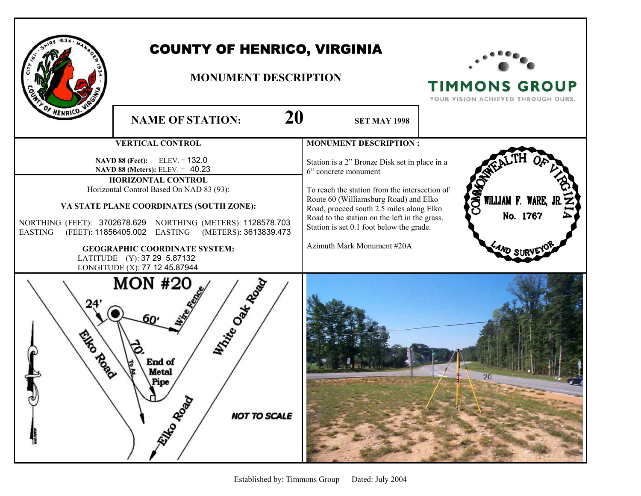